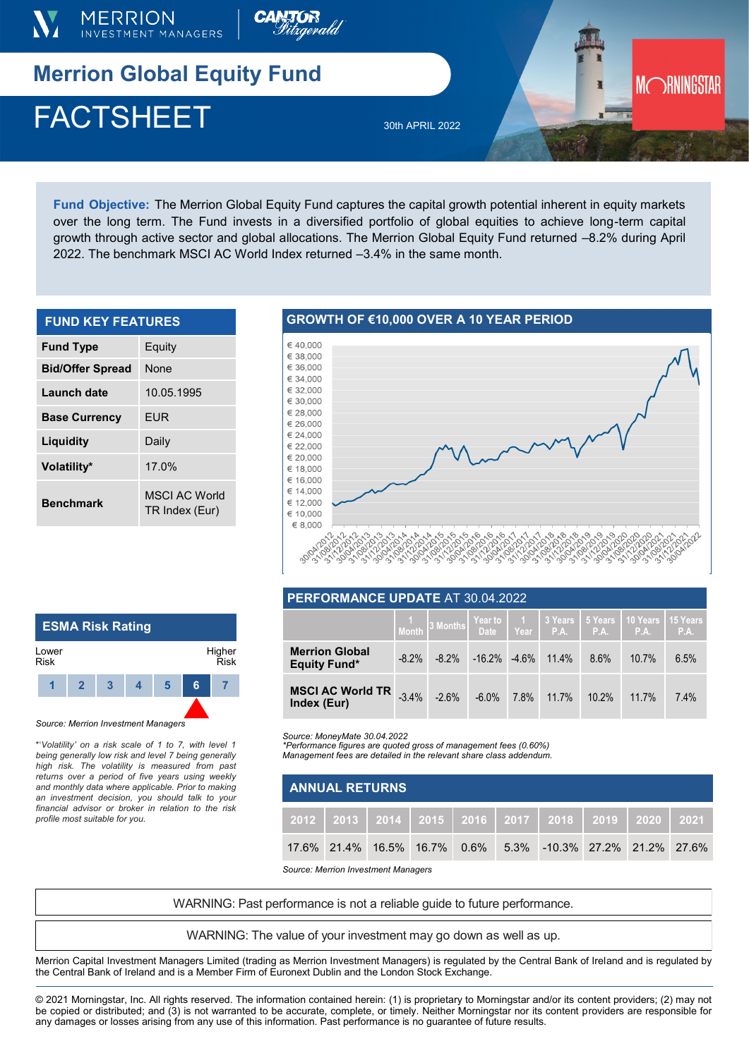



# **Merrion Global Equity Fund**

## $\blacksquare$ FACTSHEET  $\blacksquare$ FACTSHEET 30th APRIL 2022

**Fund Objective:** The Merrion Global Equity Fund captures the capital growth potential inherent in equity markets over the long term. The Fund invests in a diversified portfolio of global equities to achieve long-term capital growth through active sector and global allocations. The Merrion Global Equity Fund returned –8.2% during April 2022. The benchmark MSCI AC World Index returned –3.4% in the same month.

| <b>FUND KEY FEATURES</b> |                                       |  |  |  |  |  |
|--------------------------|---------------------------------------|--|--|--|--|--|
| <b>Fund Type</b>         | Equity                                |  |  |  |  |  |
| <b>Bid/Offer Spread</b>  | None                                  |  |  |  |  |  |
| Launch date              | 10.05.1995                            |  |  |  |  |  |
| <b>Base Currency</b>     | <b>FUR</b>                            |  |  |  |  |  |
| Liquidity                | Daily                                 |  |  |  |  |  |
| Volatility*              | 17.0%                                 |  |  |  |  |  |
| <b>Benchmark</b>         | <b>MSCLAC World</b><br>TR Index (Eur) |  |  |  |  |  |

#### **GROWTH OF €10,000 OVER A 10 YEAR PERIOD**



MCCRNINGSTAR

| <b>ESMA Risk Rating</b> |                |   |  |   |   |                |  |  |
|-------------------------|----------------|---|--|---|---|----------------|--|--|
| Lower<br><b>Risk</b>    |                |   |  |   |   | Higher<br>Risk |  |  |
|                         | $\overline{2}$ | 3 |  | 5 | 6 |                |  |  |
|                         |                |   |  |   |   |                |  |  |

*Source: Merrion Investment Managers*

\*'*Volatility' on a risk scale of 1 to 7, with level 1 being generally low risk and level 7 being generally high risk. The volatility is measured from past returns over a period of five years using weekly and monthly data where applicable. Prior to making an investment decision, you should talk to your financial advisor or broker in relation to the risk profile most suitable for you.* 

| PERFORMANCE UPDATE AT 30.04.2022             |          |          |           |      |                |          |                                                                                                            |                  |
|----------------------------------------------|----------|----------|-----------|------|----------------|----------|------------------------------------------------------------------------------------------------------------|------------------|
|                                              |          |          |           |      |                |          | 5 Years 10 Years<br>1 Months Pear to 1 3 Years 5 Years 10 Years<br>Month 3 Months Date Year P.A. P.A. P.A. | 15 Years<br>P.A. |
| <b>Merrion Global</b><br><b>Equity Fund*</b> | $-8.2\%$ | $-8.2\%$ | $-16.2\%$ |      | $-4.6\%$ 11.4% | 8.6%     | 10.7%                                                                                                      | 6.5%             |
| MSCI AC World TR 3.4%<br>Index (Eur)         |          | $-2.6%$  | $-6.0\%$  | 7.8% | 11.7%          | $10.2\%$ | 11.7%                                                                                                      | 7.4%             |

*Source: MoneyMate 30.04.2022*

*\*Performance figures are quoted gross of management fees (0.60%) Management fees are detailed in the relevant share class addendum.* 

| <b>ANNUAL RETURNS</b> |  |  |  |  |  |                                                                     |  |  |  |
|-----------------------|--|--|--|--|--|---------------------------------------------------------------------|--|--|--|
|                       |  |  |  |  |  | 2012   2013   2014   2015   2016   2017   2018   2019   2020   2021 |  |  |  |
|                       |  |  |  |  |  | $17.6\%$ 21.4% $16.5\%$ 16.7% 0.6% 5.3% -10.3% 27.2% 21.2% 27.6%    |  |  |  |

*Source: Merrion Investment Managers*

WARNING: Past performance is not a reliable guide to future performance.

WARNING: The value of your investment may go down as well as up.

Merrion Capital Investment Managers Limited (trading as Merrion Investment Managers) is regulated by the Central Bank of Ireland and is regulated by the Central Bank of Ireland and is a Member Firm of Euronext Dublin and the London Stock Exchange.

© 2021 Morningstar, Inc. All rights reserved. The information contained herein: (1) is proprietary to Morningstar and/or its content providers; (2) may not be copied or distributed; and (3) is not warranted to be accurate, complete, or timely. Neither Morningstar nor its content providers are responsible for any damages or losses arising from any use of this information. Past performance is no guarantee of future results.